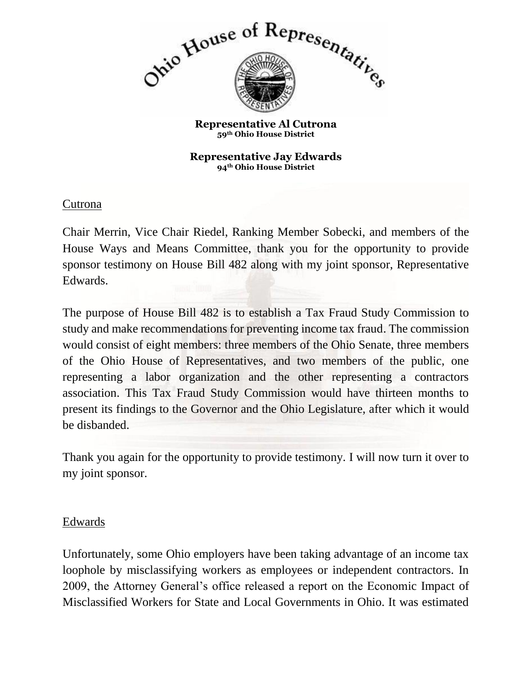

**Representative Jay Edwards 94th Ohio House District**

## **Cutrona**

Chair Merrin, Vice Chair Riedel, Ranking Member Sobecki, and members of the House Ways and Means Committee, thank you for the opportunity to provide sponsor testimony on House Bill 482 along with my joint sponsor, Representative Edwards.

The purpose of House Bill 482 is to establish a Tax Fraud Study Commission to study and make recommendations for preventing income tax fraud. The commission would consist of eight members: three members of the Ohio Senate, three members of the Ohio House of Representatives, and two members of the public, one representing a labor organization and the other representing a contractors association. This Tax Fraud Study Commission would have thirteen months to present its findings to the Governor and the Ohio Legislature, after which it would be disbanded.

Thank you again for the opportunity to provide testimony. I will now turn it over to my joint sponsor.

## Edwards

Unfortunately, some Ohio employers have been taking advantage of an income tax loophole by misclassifying workers as employees or independent contractors. In 2009, the Attorney General's office released a report on the Economic Impact of Misclassified Workers for State and Local Governments in Ohio. It was estimated